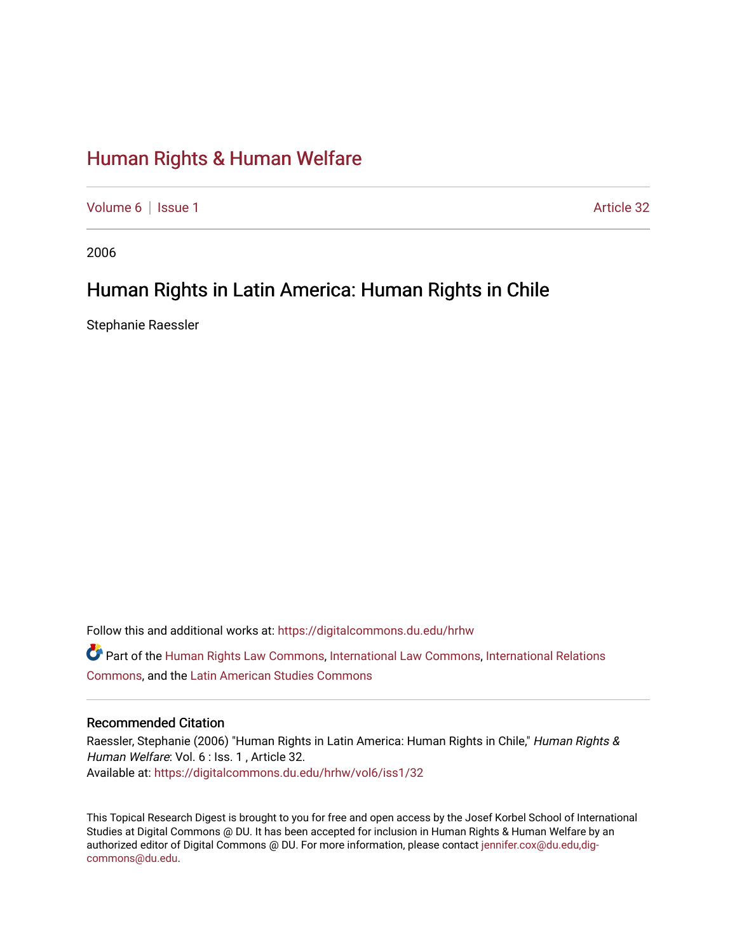# [Human Rights & Human Welfare](https://digitalcommons.du.edu/hrhw)

[Volume 6](https://digitalcommons.du.edu/hrhw/vol6) | [Issue 1](https://digitalcommons.du.edu/hrhw/vol6/iss1) Article 32

2006

## Human Rights in Latin America: Human Rights in Chile

Stephanie Raessler

Follow this and additional works at: [https://digitalcommons.du.edu/hrhw](https://digitalcommons.du.edu/hrhw?utm_source=digitalcommons.du.edu%2Fhrhw%2Fvol6%2Fiss1%2F32&utm_medium=PDF&utm_campaign=PDFCoverPages)

Part of the [Human Rights Law Commons,](http://network.bepress.com/hgg/discipline/847?utm_source=digitalcommons.du.edu%2Fhrhw%2Fvol6%2Fiss1%2F32&utm_medium=PDF&utm_campaign=PDFCoverPages) [International Law Commons](http://network.bepress.com/hgg/discipline/609?utm_source=digitalcommons.du.edu%2Fhrhw%2Fvol6%2Fiss1%2F32&utm_medium=PDF&utm_campaign=PDFCoverPages), [International Relations](http://network.bepress.com/hgg/discipline/389?utm_source=digitalcommons.du.edu%2Fhrhw%2Fvol6%2Fiss1%2F32&utm_medium=PDF&utm_campaign=PDFCoverPages)  [Commons](http://network.bepress.com/hgg/discipline/389?utm_source=digitalcommons.du.edu%2Fhrhw%2Fvol6%2Fiss1%2F32&utm_medium=PDF&utm_campaign=PDFCoverPages), and the [Latin American Studies Commons](http://network.bepress.com/hgg/discipline/363?utm_source=digitalcommons.du.edu%2Fhrhw%2Fvol6%2Fiss1%2F32&utm_medium=PDF&utm_campaign=PDFCoverPages) 

#### Recommended Citation

Raessler, Stephanie (2006) "Human Rights in Latin America: Human Rights in Chile," Human Rights & Human Welfare: Vol. 6 : Iss. 1, Article 32. Available at: [https://digitalcommons.du.edu/hrhw/vol6/iss1/32](https://digitalcommons.du.edu/hrhw/vol6/iss1/32?utm_source=digitalcommons.du.edu%2Fhrhw%2Fvol6%2Fiss1%2F32&utm_medium=PDF&utm_campaign=PDFCoverPages) 

This Topical Research Digest is brought to you for free and open access by the Josef Korbel School of International Studies at Digital Commons @ DU. It has been accepted for inclusion in Human Rights & Human Welfare by an authorized editor of Digital Commons @ DU. For more information, please contact [jennifer.cox@du.edu,dig](mailto:jennifer.cox@du.edu,dig-commons@du.edu)[commons@du.edu.](mailto:jennifer.cox@du.edu,dig-commons@du.edu)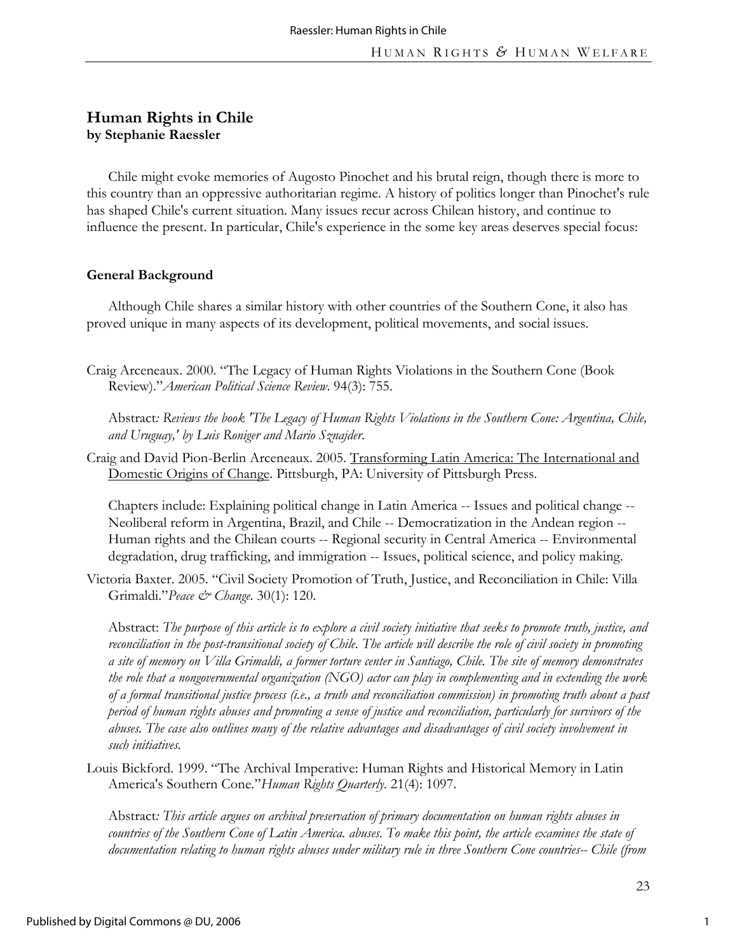## **Human Rights in Chile by Stephanie Raessler**

Chile might evoke memories of Augosto Pinochet and his brutal reign, though there is more to this country than an oppressive authoritarian regime. A history of politics longer than Pinochet's rule has shaped Chile's current situation. Many issues recur across Chilean history, and continue to influence the present. In particular, Chile's experience in the some key areas deserves special focus:

#### **General Background**

Although Chile shares a similar history with other countries of the Southern Cone, it also has proved unique in many aspects of its development, political movements, and social issues.

Craig Arceneaux. 2000. "The Legacy of Human Rights Violations in the Southern Cone (Book Review)."*American Political Science Review*. 94(3): 755.

Abstract*: Reviews the book 'The Legacy of Human Rights Violations in the Southern Cone: Argentina, Chile, and Uruguay,' by Luis Roniger and Mario Sznajder*.

Craig and David Pion-Berlin Arceneaux. 2005. Transforming Latin America: The International and Domestic Origins of Change. Pittsburgh, PA: University of Pittsburgh Press.

Chapters include: Explaining political change in Latin America -- Issues and political change -- Neoliberal reform in Argentina, Brazil, and Chile -- Democratization in the Andean region -- Human rights and the Chilean courts -- Regional security in Central America -- Environmental degradation, drug trafficking, and immigration -- Issues, political science, and policy making.

Victoria Baxter. 2005. "Civil Society Promotion of Truth, Justice, and Reconciliation in Chile: Villa Grimaldi."*Peace & Change*. 30(1): 120.

Abstract: *The purpose of this article is to explore a civil society initiative that seeks to promote truth, justice, and reconciliation in the post-transitional society of Chile. The article will describe the role of civil society in promoting a site of memory on Villa Grimaldi, a former torture center in Santiago, Chile. The site of memory demonstrates the role that a nongovernmental organization (NGO) actor can play in complementing and in extending the work of a formal transitional justice process (i.e., a truth and reconciliation commission) in promoting truth about a past period of human rights abuses and promoting a sense of justice and reconciliation, particularly for survivors of the abuses. The case also outlines many of the relative advantages and disadvantages of civil society involvement in such initiatives.* 

Louis Bickford. 1999. "The Archival Imperative: Human Rights and Historical Memory in Latin America's Southern Cone."*Human Rights Quarterly*. 21(4): 1097.

Abstract*: This article argues on archival preservation of primary documentation on human rights abuses in*  countries of the Southern Cone of Latin America. abuses. To make this point, the article examines the state of *documentation relating to human rights abuses under military rule in three Southern Cone countries-- Chile (from*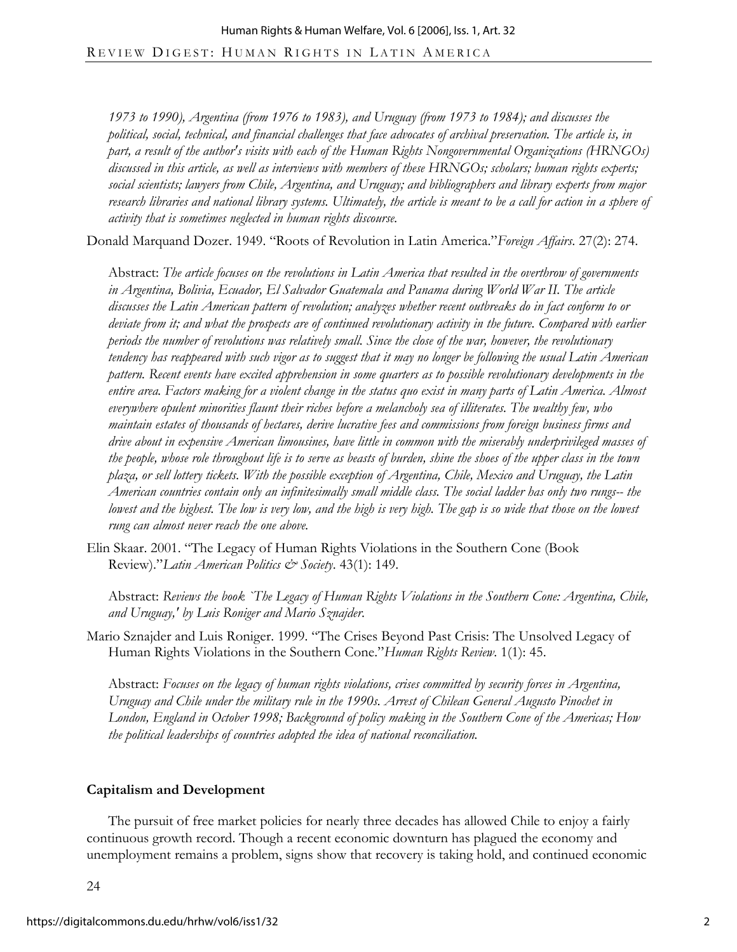*1973 to 1990), Argentina (from 1976 to 1983), and Uruguay (from 1973 to 1984); and discusses the political, social, technical, and financial challenges that face advocates of archival preservation. The article is, in part, a result of the author's visits with each of the Human Rights Nongovernmental Organizations (HRNGOs) discussed in this article, as well as interviews with members of these HRNGOs; scholars; human rights experts; social scientists; lawyers from Chile, Argentina, and Uruguay; and bibliographers and library experts from major research libraries and national library systems. Ultimately, the article is meant to be a call for action in a sphere of activity that is sometimes neglected in human rights discourse.* 

Donald Marquand Dozer. 1949. "Roots of Revolution in Latin America."*Foreign Affairs*. 27(2): 274.

Abstract: *The article focuses on the revolutions in Latin America that resulted in the overthrow of governments in Argentina, Bolivia, Ecuador, El Salvador Guatemala and Panama during World War II. The article discusses the Latin American pattern of revolution; analyzes whether recent outbreaks do in fact conform to or deviate from it; and what the prospects are of continued revolutionary activity in the future. Compared with earlier periods the number of revolutions was relatively small. Since the close of the war, however, the revolutionary tendency has reappeared with such vigor as to suggest that it may no longer be following the usual Latin American pattern. Recent events have excited apprehension in some quarters as to possible revolutionary developments in the entire area. Factors making for a violent change in the status quo exist in many parts of Latin America. Almost everywhere opulent minorities flaunt their riches before a melancholy sea of illiterates. The wealthy few, who maintain estates of thousands of hectares, derive lucrative fees and commissions from foreign business firms and drive about in expensive American limousines, have little in common with the miserably underprivileged masses of the people, whose role throughout life is to serve as beasts of burden, shine the shoes of the upper class in the town plaza, or sell lottery tickets. With the possible exception of Argentina, Chile, Mexico and Uruguay, the Latin American countries contain only an infinitesimally small middle class. The social ladder has only two rungs-- the*  lowest and the highest. The low is very low, and the high is very high. The gap is so wide that those on the lowest *rung can almost never reach the one above.* 

Elin Skaar. 2001. "The Legacy of Human Rights Violations in the Southern Cone (Book Review)."*Latin American Politics & Society*. 43(1): 149.

Abstract: *Reviews the book `The Legacy of Human Rights Violations in the Southern Cone: Argentina, Chile, and Uruguay,' by Luis Roniger and Mario Sznajder*.

Mario Sznajder and Luis Roniger. 1999. "The Crises Beyond Past Crisis: The Unsolved Legacy of Human Rights Violations in the Southern Cone."*Human Rights Review*. 1(1): 45.

Abstract: *Focuses on the legacy of human rights violations, crises committed by security forces in Argentina, Uruguay and Chile under the military rule in the 1990s. Arrest of Chilean General Augusto Pinochet in London, England in October 1998; Background of policy making in the Southern Cone of the Americas; How the political leaderships of countries adopted the idea of national reconciliation.* 

### **Capitalism and Development**

The pursuit of free market policies for nearly three decades has allowed Chile to enjoy a fairly continuous growth record. Though a recent economic downturn has plagued the economy and unemployment remains a problem, signs show that recovery is taking hold, and continued economic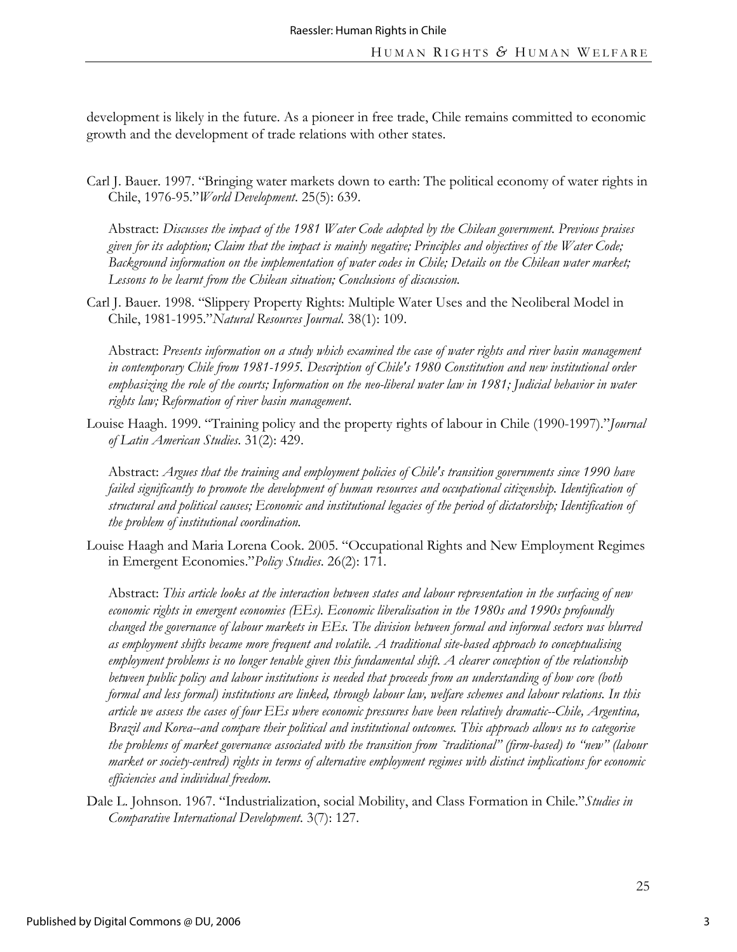development is likely in the future. As a pioneer in free trade, Chile remains committed to economic growth and the development of trade relations with other states.

Carl J. Bauer. 1997. "Bringing water markets down to earth: The political economy of water rights in Chile, 1976-95."*World Development*. 25(5): 639.

Abstract: *Discusses the impact of the 1981 Water Code adopted by the Chilean government. Previous praises given for its adoption; Claim that the impact is mainly negative; Principles and objectives of the Water Code; Background information on the implementation of water codes in Chile; Details on the Chilean water market; Lessons to be learnt from the Chilean situation; Conclusions of discussion.* 

Carl J. Bauer. 1998. "Slippery Property Rights: Multiple Water Uses and the Neoliberal Model in Chile, 1981-1995."*Natural Resources Journal*. 38(1): 109.

Abstract: *Presents information on a study which examined the case of water rights and river basin management in contemporary Chile from 1981-1995. Description of Chile's 1980 Constitution and new institutional order emphasizing the role of the courts; Information on the neo-liberal water law in 1981; Judicial behavior in water rights law; Reformation of river basin management*.

Louise Haagh. 1999. "Training policy and the property rights of labour in Chile (1990-1997)."*Journal of Latin American Studies*. 31(2): 429.

Abstract: *Argues that the training and employment policies of Chile's transition governments since 1990 have failed significantly to promote the development of human resources and occupational citizenship. Identification of structural and political causes; Economic and institutional legacies of the period of dictatorship; Identification of the problem of institutional coordination.* 

Louise Haagh and Maria Lorena Cook. 2005. "Occupational Rights and New Employment Regimes in Emergent Economies."*Policy Studies*. 26(2): 171.

Abstract: *This article looks at the interaction between states and labour representation in the surfacing of new economic rights in emergent economies (EEs). Economic liberalisation in the 1980s and 1990s profoundly changed the governance of labour markets in EEs. The division between formal and informal sectors was blurred as employment shifts became more frequent and volatile. A traditional site-based approach to conceptualising employment problems is no longer tenable given this fundamental shift. A clearer conception of the relationship between public policy and labour institutions is needed that proceeds from an understanding of how core (both formal and less formal) institutions are linked, through labour law, welfare schemes and labour relations. In this article we assess the cases of four EEs where economic pressures have been relatively dramatic--Chile, Argentina, Brazil and Korea--and compare their political and institutional outcomes. This approach allows us to categorise the problems of market governance associated with the transition from ˜traditional" (firm-based) to "new" (labour market or society-centred) rights in terms of alternative employment regimes with distinct implications for economic efficiencies and individual freedom.* 

Dale L. Johnson. 1967. "Industrialization, social Mobility, and Class Formation in Chile."*Studies in Comparative International Development*. 3(7): 127.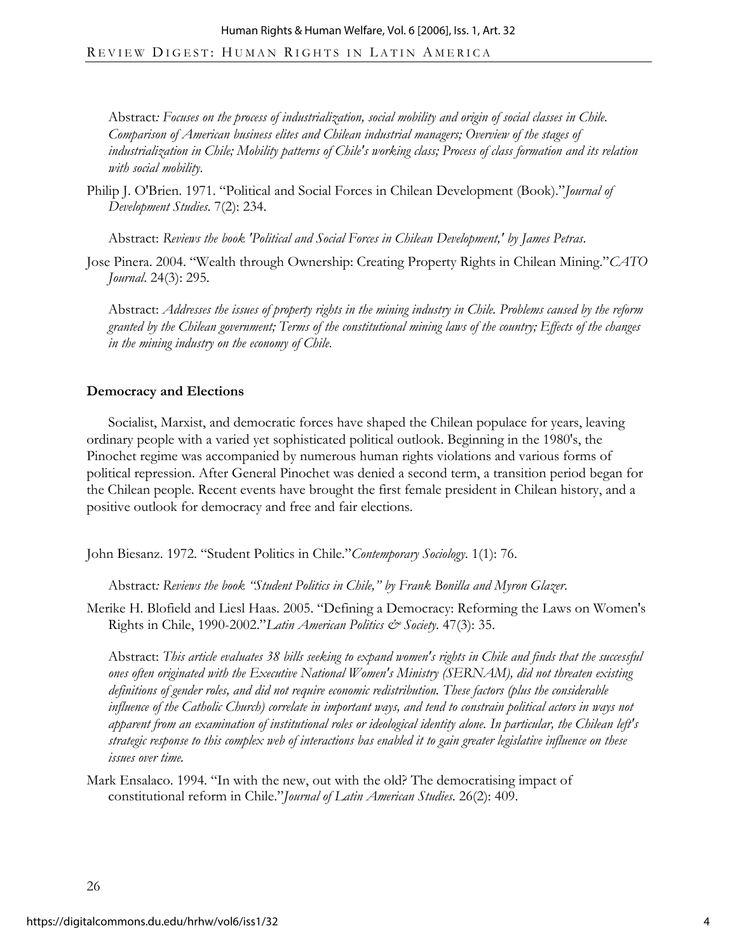Abstract*: Focuses on the process of industrialization, social mobility and origin of social classes in Chile. Comparison of American business elites and Chilean industrial managers; Overview of the stages of industrialization in Chile; Mobility patterns of Chile's working class; Process of class formation and its relation with social mobility*.

Philip J. O'Brien. 1971. "Political and Social Forces in Chilean Development (Book)."*Journal of Development Studies*. 7(2): 234.

Abstract: *Reviews the book 'Political and Social Forces in Chilean Development,' by James Petras*.

Jose Pinera. 2004. "Wealth through Ownership: Creating Property Rights in Chilean Mining."*CATO Journal*. 24(3): 295.

Abstract: *Addresses the issues of property rights in the mining industry in Chile. Problems caused by the reform granted by the Chilean government; Terms of the constitutional mining laws of the country; Effects of the changes in the mining industry on the economy of Chile.* 

### **Democracy and Elections**

Socialist, Marxist, and democratic forces have shaped the Chilean populace for years, leaving ordinary people with a varied yet sophisticated political outlook. Beginning in the 1980's, the Pinochet regime was accompanied by numerous human rights violations and various forms of political repression. After General Pinochet was denied a second term, a transition period began for the Chilean people. Recent events have brought the first female president in Chilean history, and a positive outlook for democracy and free and fair elections.

John Biesanz. 1972. "Student Politics in Chile."*Contemporary Sociology*. 1(1): 76.

Abstract*: Reviews the book "Student Politics in Chile," by Frank Bonilla and Myron Glazer*.

Merike H. Blofield and Liesl Haas. 2005. "Defining a Democracy: Reforming the Laws on Women's Rights in Chile, 1990-2002."*Latin American Politics & Society*. 47(3): 35.

Abstract: *This article evaluates 38 bills seeking to expand women's rights in Chile and finds that the successful ones often originated with the Executive National Women's Ministry (SERNAM), did not threaten existing definitions of gender roles, and did not require economic redistribution. These factors (plus the considerable influence of the Catholic Church) correlate in important ways, and tend to constrain political actors in ways not apparent from an examination of institutional roles or ideological identity alone. In particular, the Chilean left's strategic response to this complex web of interactions bas enabled it to gain greater legislative influence on these issues over time.* 

Mark Ensalaco. 1994. "In with the new, out with the old? The democratising impact of constitutional reform in Chile."*Journal of Latin American Studies*. 26(2): 409.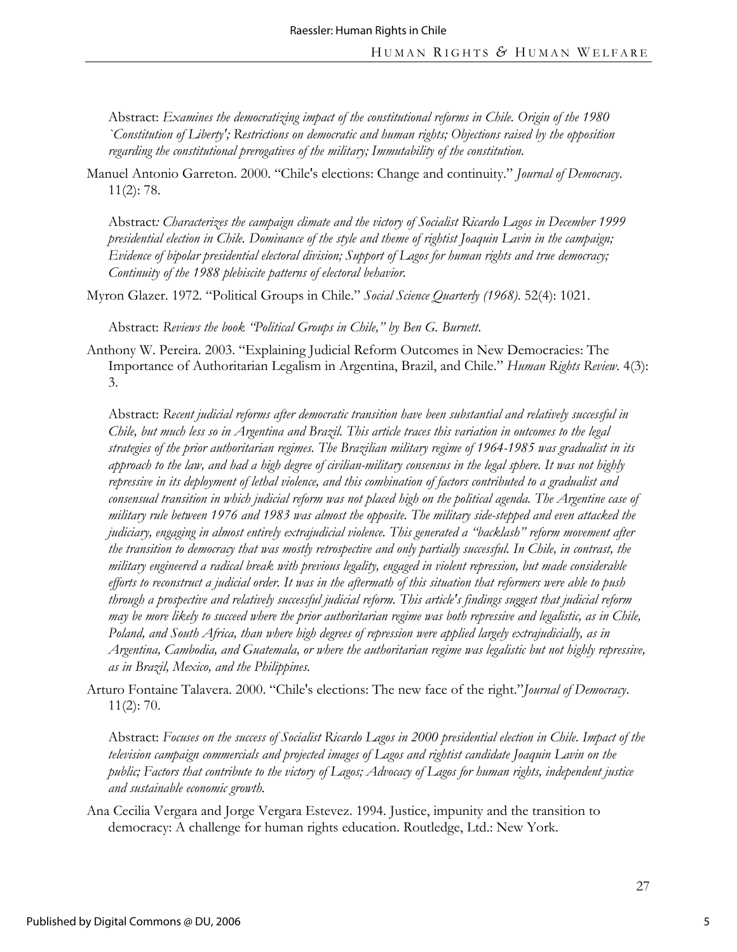Abstract: *Examines the democratizing impact of the constitutional reforms in Chile. Origin of the 1980 `Constitution of Liberty'; Restrictions on democratic and human rights; Objections raised by the opposition regarding the constitutional prerogatives of the military; Immutability of the constitution.* 

Manuel Antonio Garreton. 2000. "Chile's elections: Change and continuity." *Journal of Democracy*. 11(2): 78.

Abstract*: Characterizes the campaign climate and the victory of Socialist Ricardo Lagos in December 1999 presidential election in Chile. Dominance of the style and theme of rightist Joaquin Lavin in the campaign; Evidence of bipolar presidential electoral division; Support of Lagos for human rights and true democracy; Continuity of the 1988 plebiscite patterns of electoral behavior*.

Myron Glazer. 1972. "Political Groups in Chile." *Social Science Quarterly (1968)*. 52(4): 1021.

Abstract: *Reviews the book "Political Groups in Chile," by Ben G. Burnett*.

Anthony W. Pereira. 2003. "Explaining Judicial Reform Outcomes in New Democracies: The Importance of Authoritarian Legalism in Argentina, Brazil, and Chile." *Human Rights Review*. 4(3): 3.

Abstract: *Recent judicial reforms after democratic transition have been substantial and relatively successful in Chile, but much less so in Argentina and Brazil. This article traces this variation in outcomes to the legal strategies of the prior authoritarian regimes. The Brazilian military regime of 1964-1985 was gradualist in its approach to the law, and had a high degree of civilian-military consensus in the legal sphere. It was not highly repressive in its deployment of lethal violence, and this combination of factors contributed to a gradualist and consensual transition in which judicial reform was not placed high on the political agenda. The Argentine case of military rule between 1976 and 1983 was almost the opposite. The military side-stepped and even attacked the judiciary, engaging in almost entirely extrajudicial violence. This generated a "backlash" reform movement after the transition to democracy that was mostly retrospective and only partially successful. In Chile, in contrast, the military engineered a radical break with previous legality, engaged in violent repression, but made considerable efforts to reconstruct a judicial order. It was in the aftermath of this situation that reformers were able to push through a prospective and relatively successful judicial reform. This article's findings suggest that judicial reform may be more likely to succeed where the prior authoritarian regime was both repressive and legalistic, as in Chile, Poland, and South Africa, than where high degrees of repression were applied largely extrajudicially, as in Argentina, Cambodia, and Guatemala, or where the authoritarian regime was legalistic but not highly repressive, as in Brazil, Mexico, and the Philippines.* 

Arturo Fontaine Talavera. 2000. "Chile's elections: The new face of the right."*Journal of Democracy*. 11(2): 70.

Abstract: *Focuses on the success of Socialist Ricardo Lagos in 2000 presidential election in Chile. Impact of the television campaign commercials and projected images of Lagos and rightist candidate Joaquin Lavin on the public; Factors that contribute to the victory of Lagos; Advocacy of Lagos for human rights, independent justice and sustainable economic growth.*

Ana Cecilia Vergara and Jorge Vergara Estevez. 1994. Justice, impunity and the transition to democracy: A challenge for human rights education. Routledge, Ltd.: New York.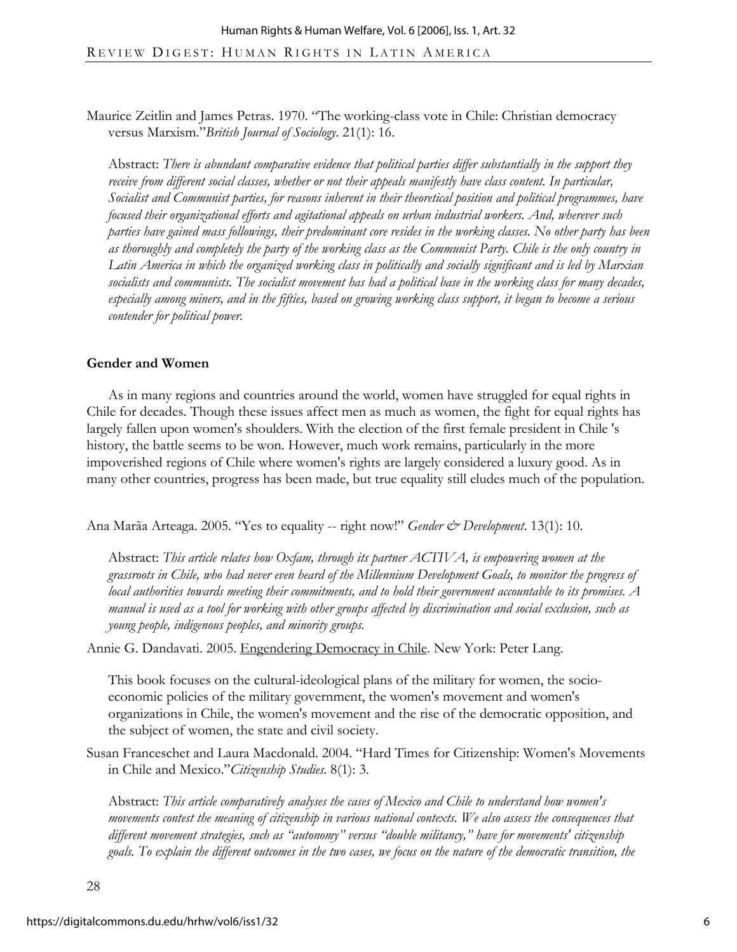Maurice Zeitlin and James Petras. 1970. "The working-class vote in Chile: Christian democracy versus Marxism."*British Journal of Sociology*. 21(1): 16.

Abstract: *There is abundant comparative evidence that political parties differ substantially in the support they*  receive from different social classes, whether or not their appeals manifestly have class content. In particular, *Socialist and Communist parties, for reasons inherent in their theoretical position and political programmes, have focused their organizational efforts and agitational appeals on urban industrial workers. And, wherever such parties have gained mass followings, their predominant core resides in the working classes. No other party has been as thoroughly and completely the party of the working class as the Communist Party. Chile is the only country in Latin America in which the organized working class in politically and socially significant and is led by Marxian socialists and communists. The socialist movement has had a political base in the working class for many decades, especially among miners, and in the fifties, based on growing working class support, it began to become a serious contender for political power.* 

#### **Gender and Women**

As in many regions and countries around the world, women have struggled for equal rights in Chile for decades. Though these issues affect men as much as women, the fight for equal rights has largely fallen upon women's shoulders. With the election of the first female president in Chile 's history, the battle seems to be won. However, much work remains, particularly in the more impoverished regions of Chile where women's rights are largely considered a luxury good. As in many other countries, progress has been made, but true equality still eludes much of the population.

Ana Marãa Arteaga. 2005. "Yes to equality -- right now!" *Gender & Development*. 13(1): 10.

Abstract: *This article relates how Oxfam, through its partner ACTIVA, is empowering women at the grassroots in Chile, who had never even heard of the Millennium Development Goals, to monitor the progress of local authorities towards meeting their commitments, and to hold their government accountable to its promises. A manual is used as a tool for working with other groups affected by discrimination and social exclusion, such as young people, indigenous peoples, and minority groups.* 

Annie G. Dandavati. 2005. Engendering Democracy in Chile. New York: Peter Lang.

This book focuses on the cultural-ideological plans of the military for women, the socioeconomic policies of the military government, the women's movement and women's organizations in Chile, the women's movement and the rise of the democratic opposition, and the subject of women, the state and civil society.

Susan Franceschet and Laura Macdonald. 2004. "Hard Times for Citizenship: Women's Movements in Chile and Mexico."*Citizenship Studies*. 8(1): 3.

Abstract: *This article comparatively analyses the cases of Mexico and Chile to understand how women's movements contest the meaning of citizenship in various national contexts. We also assess the consequences that different movement strategies, such as "autonomy" versus "double militancy," have for movements' citizenship goals. To explain the different outcomes in the two cases, we focus on the nature of the democratic transition, the*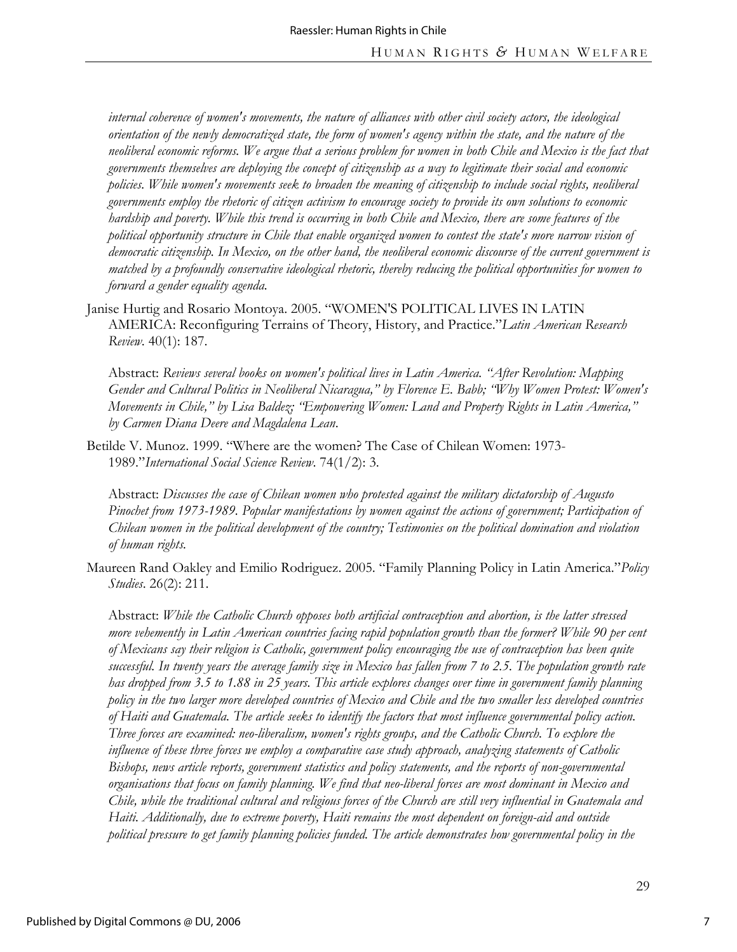*internal coherence of women's movements, the nature of alliances with other civil society actors, the ideological orientation of the newly democratized state, the form of women's agency within the state, and the nature of the neoliberal economic reforms. We argue that a serious problem for women in both Chile and Mexico is the fact that governments themselves are deploying the concept of citizenship as a way to legitimate their social and economic policies. While women's movements seek to broaden the meaning of citizenship to include social rights, neoliberal governments employ the rhetoric of citizen activism to encourage society to provide its own solutions to economic hardship and poverty. While this trend is occurring in both Chile and Mexico, there are some features of the political opportunity structure in Chile that enable organized women to contest the state's more narrow vision of democratic citizenship. In Mexico, on the other hand, the neoliberal economic discourse of the current government is matched by a profoundly conservative ideological rhetoric, thereby reducing the political opportunities for women to forward a gender equality agenda.* 

Janise Hurtig and Rosario Montoya. 2005. "WOMEN'S POLITICAL LIVES IN LATIN AMERICA: Reconfiguring Terrains of Theory, History, and Practice."*Latin American Research Review*. 40(1): 187.

Abstract: *Reviews several books on women's political lives in Latin America. "After Revolution: Mapping Gender and Cultural Politics in Neoliberal Nicaragua," by Florence E. Babb; "Why Women Protest: Women's Movements in Chile," by Lisa Baldez; "Empowering Women: Land and Property Rights in Latin America," by Carmen Diana Deere and Magdalena Lean*.

Betilde V. Munoz. 1999. "Where are the women? The Case of Chilean Women: 1973- 1989."*International Social Science Review*. 74(1/2): 3.

Abstract: *Discusses the case of Chilean women who protested against the military dictatorship of Augusto Pinochet from 1973-1989. Popular manifestations by women against the actions of government; Participation of Chilean women in the political development of the country; Testimonies on the political domination and violation of human rights.* 

Maureen Rand Oakley and Emilio Rodriguez. 2005. "Family Planning Policy in Latin America."*Policy Studies*. 26(2): 211.

Abstract: *While the Catholic Church opposes both artificial contraception and abortion, is the latter stressed more vehemently in Latin American countries facing rapid population growth than the former? While 90 per cent of Mexicans say their religion is Catholic, government policy encouraging the use of contraception has been quite successful. In twenty years the average family size in Mexico has fallen from 7 to 2.5. The population growth rate has dropped from 3.5 to 1.88 in 25 years. This article explores changes over time in government family planning policy in the two larger more developed countries of Mexico and Chile and the two smaller less developed countries of Haiti and Guatemala. The article seeks to identify the factors that most influence governmental policy action. Three forces are examined: neo-liberalism, women's rights groups, and the Catholic Church. To explore the influence of these three forces we employ a comparative case study approach, analyzing statements of Catholic Bishops, news article reports, government statistics and policy statements, and the reports of non-governmental organisations that focus on family planning. We find that neo-liberal forces are most dominant in Mexico and Chile, while the traditional cultural and religious forces of the Church are still very influential in Guatemala and Haiti. Additionally, due to extreme poverty, Haiti remains the most dependent on foreign-aid and outside political pressure to get family planning policies funded. The article demonstrates how governmental policy in the*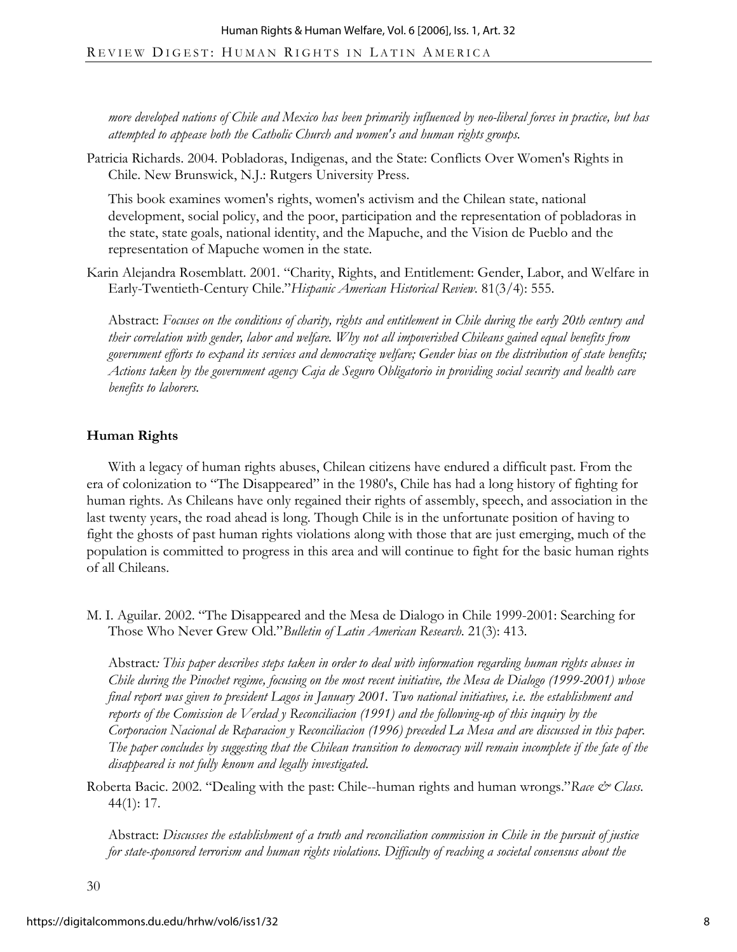*more developed nations of Chile and Mexico has been primarily influenced by neo-liberal forces in practice, but has attempted to appease both the Catholic Church and women's and human rights groups.* 

Patricia Richards. 2004. Pobladoras, Indigenas, and the State: Conflicts Over Women's Rights in Chile. New Brunswick, N.J.: Rutgers University Press.

This book examines women's rights, women's activism and the Chilean state, national development, social policy, and the poor, participation and the representation of pobladoras in the state, state goals, national identity, and the Mapuche, and the Vision de Pueblo and the representation of Mapuche women in the state.

Karin Alejandra Rosemblatt. 2001. "Charity, Rights, and Entitlement: Gender, Labor, and Welfare in Early-Twentieth-Century Chile."*Hispanic American Historical Review*. 81(3/4): 555.

Abstract: *Focuses on the conditions of charity, rights and entitlement in Chile during the early 20th century and their correlation with gender, labor and welfare. Why not all impoverished Chileans gained equal benefits from government efforts to expand its services and democratize welfare; Gender bias on the distribution of state benefits; Actions taken by the government agency Caja de Seguro Obligatorio in providing social security and health care benefits to laborers.* 

### **Human Rights**

With a legacy of human rights abuses, Chilean citizens have endured a difficult past. From the era of colonization to "The Disappeared" in the 1980's, Chile has had a long history of fighting for human rights. As Chileans have only regained their rights of assembly, speech, and association in the last twenty years, the road ahead is long. Though Chile is in the unfortunate position of having to fight the ghosts of past human rights violations along with those that are just emerging, much of the population is committed to progress in this area and will continue to fight for the basic human rights of all Chileans.

M. I. Aguilar. 2002. "The Disappeared and the Mesa de Dialogo in Chile 1999-2001: Searching for Those Who Never Grew Old."*Bulletin of Latin American Research*. 21(3): 413.

Abstract*: This paper describes steps taken in order to deal with information regarding human rights abuses in Chile during the Pinochet regime, focusing on the most recent initiative, the Mesa de Dialogo (1999-2001) whose final report was given to president Lagos in January 2001. Two national initiatives, i.e. the establishment and reports of the Comission de Verdad y Reconciliacion (1991) and the following-up of this inquiry by the Corporacion Nacional de Reparacion y Reconciliacion (1996) preceded La Mesa and are discussed in this paper.*  The paper concludes by suggesting that the Chilean transition to democracy will remain incomplete if the fate of the *disappeared is not fully known and legally investigated*.

Roberta Bacic. 2002. "Dealing with the past: Chile--human rights and human wrongs."*Race & Class*. 44(1): 17.

Abstract: *Discusses the establishment of a truth and reconciliation commission in Chile in the pursuit of justice for state-sponsored terrorism and human rights violations. Difficulty of reaching a societal consensus about the*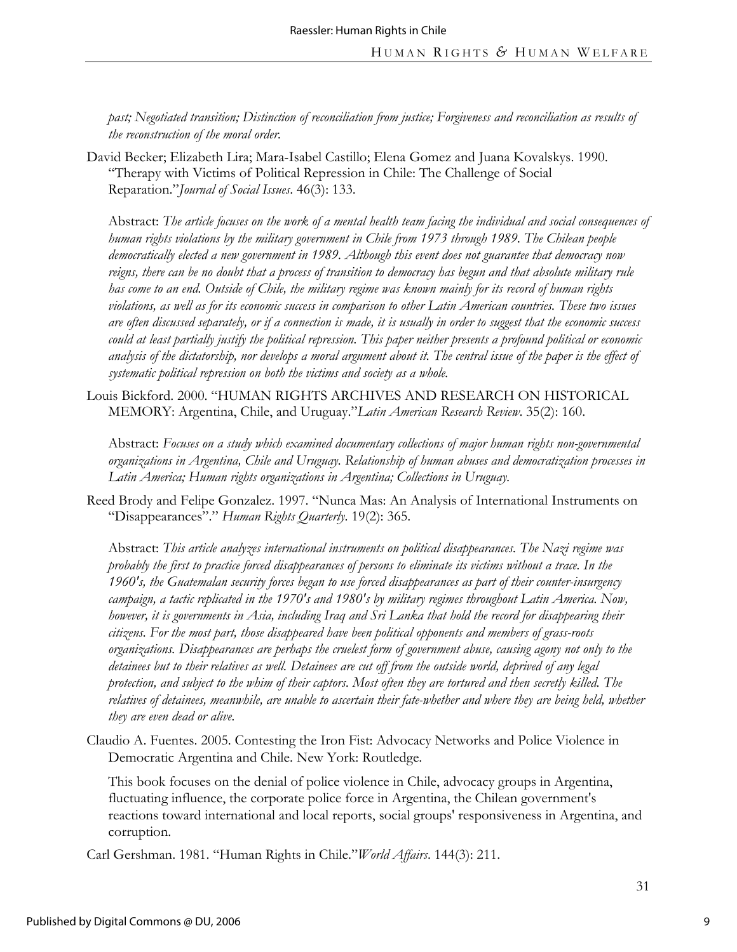*past; Negotiated transition; Distinction of reconciliation from justice; Forgiveness and reconciliation as results of the reconstruction of the moral order.*

David Becker; Elizabeth Lira; Mara-Isabel Castillo; Elena Gomez and Juana Kovalskys. 1990. "Therapy with Victims of Political Repression in Chile: The Challenge of Social Reparation."*Journal of Social Issues*. 46(3): 133.

Abstract: *The article focuses on the work of a mental health team facing the individual and social consequences of human rights violations by the military government in Chile from 1973 through 1989. The Chilean people democratically elected a new government in 1989. Although this event does not guarantee that democracy now reigns, there can be no doubt that a process of transition to democracy has begun and that absolute military rule has come to an end. Outside of Chile, the military regime was known mainly for its record of human rights violations, as well as for its economic success in comparison to other Latin American countries. These two issues are often discussed separately, or if a connection is made, it is usually in order to suggest that the economic success could at least partially justify the political repression. This paper neither presents a profound political or economic analysis of the dictatorship, nor develops a moral argument about it. The central issue of the paper is the effect of systematic political repression on both the victims and society as a whole.*

Louis Bickford. 2000. "HUMAN RIGHTS ARCHIVES AND RESEARCH ON HISTORICAL MEMORY: Argentina, Chile, and Uruguay."*Latin American Research Review*. 35(2): 160.

Abstract: *Focuses on a study which examined documentary collections of major human rights non-governmental organizations in Argentina, Chile and Uruguay. Relationship of human abuses and democratization processes in Latin America; Human rights organizations in Argentina; Collections in Uruguay.*

Reed Brody and Felipe Gonzalez. 1997. "Nunca Mas: An Analysis of International Instruments on "Disappearances"." *Human Rights Quarterly*. 19(2): 365.

Abstract: *This article analyzes international instruments on political disappearances. The Nazi regime was probably the first to practice forced disappearances of persons to eliminate its victims without a trace. In the 1960's, the Guatemalan security forces began to use forced disappearances as part of their counter-insurgency campaign, a tactic replicated in the 1970's and 1980's by military regimes throughout Latin America. Now, however, it is governments in Asia, including Iraq and Sri Lanka that hold the record for disappearing their citizens. For the most part, those disappeared have been political opponents and members of grass-roots organizations. Disappearances are perhaps the cruelest form of government abuse, causing agony not only to the detainees but to their relatives as well. Detainees are cut off from the outside world, deprived of any legal protection, and subject to the whim of their captors. Most often they are tortured and then secretly killed. The*  relatives of detainees, meanwhile, are unable to ascertain their fate-whether and where they are being held, whether *they are even dead or alive.* 

Claudio A. Fuentes. 2005. Contesting the Iron Fist: Advocacy Networks and Police Violence in Democratic Argentina and Chile. New York: Routledge.

This book focuses on the denial of police violence in Chile, advocacy groups in Argentina, fluctuating influence, the corporate police force in Argentina, the Chilean government's reactions toward international and local reports, social groups' responsiveness in Argentina, and corruption.

Carl Gershman. 1981. "Human Rights in Chile."*World Affairs*. 144(3): 211.

9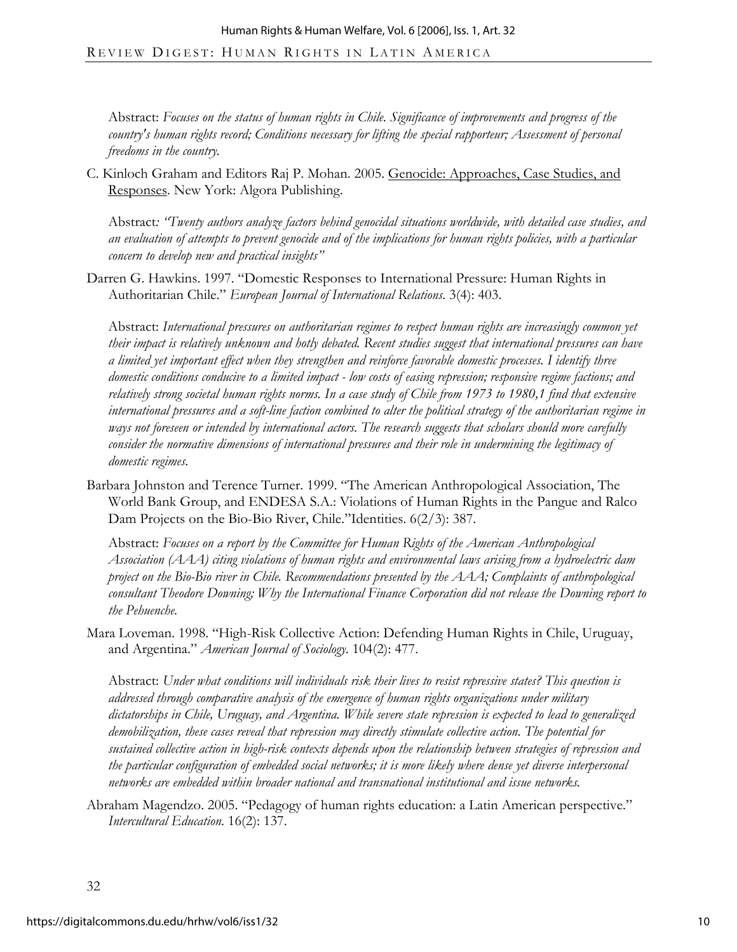Abstract: *Focuses on the status of human rights in Chile. Significance of improvements and progress of the country's human rights record; Conditions necessary for lifting the special rapporteur; Assessment of personal freedoms in the country.* 

C. Kinloch Graham and Editors Raj P. Mohan. 2005. Genocide: Approaches, Case Studies, and Responses. New York: Algora Publishing.

Abstract*: "Twenty authors analyze factors behind genocidal situations worldwide, with detailed case studies, and an evaluation of attempts to prevent genocide and of the implications for human rights policies, with a particular concern to develop new and practical insights"* 

Darren G. Hawkins. 1997. "Domestic Responses to International Pressure: Human Rights in Authoritarian Chile." *European Journal of International Relations*. 3(4): 403.

Abstract: *International pressures on authoritarian regimes to respect human rights are increasingly common yet their impact is relatively unknown and hotly debated. Recent studies suggest that international pressures can have a limited yet important effect when they strengthen and reinforce favorable domestic processes. I identify three domestic conditions conducive to a limited impact - low costs of easing repression; responsive regime factions; and relatively strong societal human rights norms. In a case study of Chile from 1973 to 1980,1 find that extensive international pressures and a soft-line faction combined to alter the political strategy of the authoritarian regime in ways not foreseen or intended by international actors. The research suggests that scholars should more carefully consider the normative dimensions of international pressures and their role in undermining the legitimacy of domestic regimes*.

Barbara Johnston and Terence Turner. 1999. "The American Anthropological Association, The World Bank Group, and ENDESA S.A.: Violations of Human Rights in the Pangue and Ralco Dam Projects on the Bio-Bio River, Chile."Identities. 6(2/3): 387.

Abstract: *Focuses on a report by the Committee for Human Rights of the American Anthropological Association (AAA) citing violations of human rights and environmental laws arising from a hydroelectric dam project on the Bio-Bio river in Chile. Recommendations presented by the AAA; Complaints of anthropological consultant Theodore Downing; Why the International Finance Corporation did not release the Downing report to the Pehuenche*.

Mara Loveman. 1998. "High-Risk Collective Action: Defending Human Rights in Chile, Uruguay, and Argentina." *American Journal of Sociology*. 104(2): 477.

Abstract: *Under what conditions will individuals risk their lives to resist repressive states? This question is addressed through comparative analysis of the emergence of human rights organizations under military dictatorships in Chile, Uruguay, and Argentina. While severe state repression is expected to lead to generalized demobilization, these cases reveal that repression may directly stimulate collective action. The potential for sustained collective action in high-risk contexts depends upon the relationship between strategies of repression and the particular configuration of embedded social networks; it is more likely where dense yet diverse interpersonal networks are embedded within broader national and transnational institutional and issue networks.* 

Abraham Magendzo. 2005. "Pedagogy of human rights education: a Latin American perspective." *Intercultural Education*. 16(2): 137.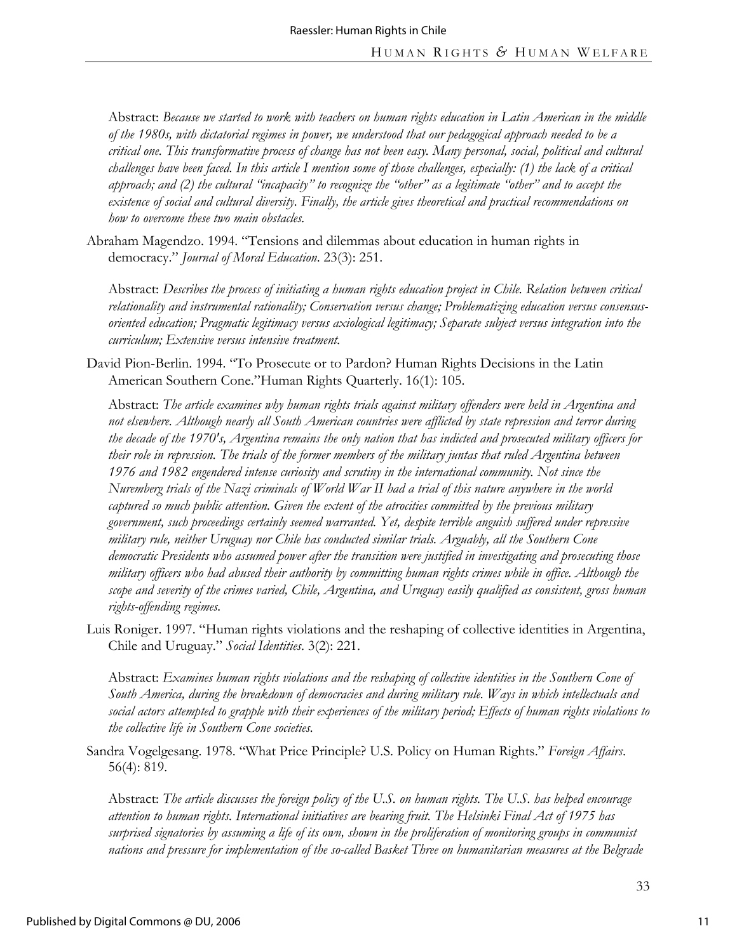Abstract: *Because we started to work with teachers on human rights education in Latin American in the middle of the 1980s, with dictatorial regimes in power, we understood that our pedagogical approach needed to be a critical one. This transformative process of change has not been easy. Many personal, social, political and cultural challenges have been faced. In this article I mention some of those challenges, especially: (1) the lack of a critical approach; and (2) the cultural "incapacity" to recognize the "other" as a legitimate "other" and to accept the existence of social and cultural diversity. Finally, the article gives theoretical and practical recommendations on how to overcome these two main obstacles.*

Abraham Magendzo. 1994. "Tensions and dilemmas about education in human rights in democracy." *Journal of Moral Education*. 23(3): 251.

Abstract: *Describes the process of initiating a human rights education project in Chile. Relation between critical relationality and instrumental rationality; Conservation versus change; Problematizing education versus consensusoriented education; Pragmatic legitimacy versus axiological legitimacy; Separate subject versus integration into the curriculum; Extensive versus intensive treatment.* 

David Pion-Berlin. 1994. "To Prosecute or to Pardon? Human Rights Decisions in the Latin American Southern Cone."Human Rights Quarterly. 16(1): 105.

Abstract: *The article examines why human rights trials against military offenders were held in Argentina and not elsewhere. Although nearly all South American countries were afflicted by state repression and terror during the decade of the 1970's, Argentina remains the only nation that has indicted and prosecuted military officers for their role in repression. The trials of the former members of the military juntas that ruled Argentina between 1976 and 1982 engendered intense curiosity and scrutiny in the international community. Not since the Nuremberg trials of the Nazi criminals of World War II had a trial of this nature anywhere in the world captured so much public attention. Given the extent of the atrocities committed by the previous military government, such proceedings certainly seemed warranted. Yet, despite terrible anguish suffered under repressive military rule, neither Uruguay nor Chile has conducted similar trials. Arguably, all the Southern Cone democratic Presidents who assumed power after the transition were justified in investigating and prosecuting those military officers who had abused their authority by committing human rights crimes while in office. Although the scope and severity of the crimes varied, Chile, Argentina, and Uruguay easily qualified as consistent, gross human rights-offending regimes.* 

Luis Roniger. 1997. "Human rights violations and the reshaping of collective identities in Argentina, Chile and Uruguay." *Social Identities*. 3(2): 221.

Abstract: *Examines human rights violations and the reshaping of collective identities in the Southern Cone of South America, during the breakdown of democracies and during military rule. Ways in which intellectuals and social actors attempted to grapple with their experiences of the military period; Effects of human rights violations to the collective life in Southern Cone societies.* 

Sandra Vogelgesang. 1978. "What Price Principle? U.S. Policy on Human Rights." *Foreign Affairs*. 56(4): 819.

Abstract: *The article discusses the foreign policy of the U.S. on human rights. The U.S. has helped encourage attention to human rights. International initiatives are bearing fruit. The Helsinki Final Act of 1975 has surprised signatories by assuming a life of its own, shown in the proliferation of monitoring groups in communist nations and pressure for implementation of the so-called Basket Three on humanitarian measures at the Belgrade*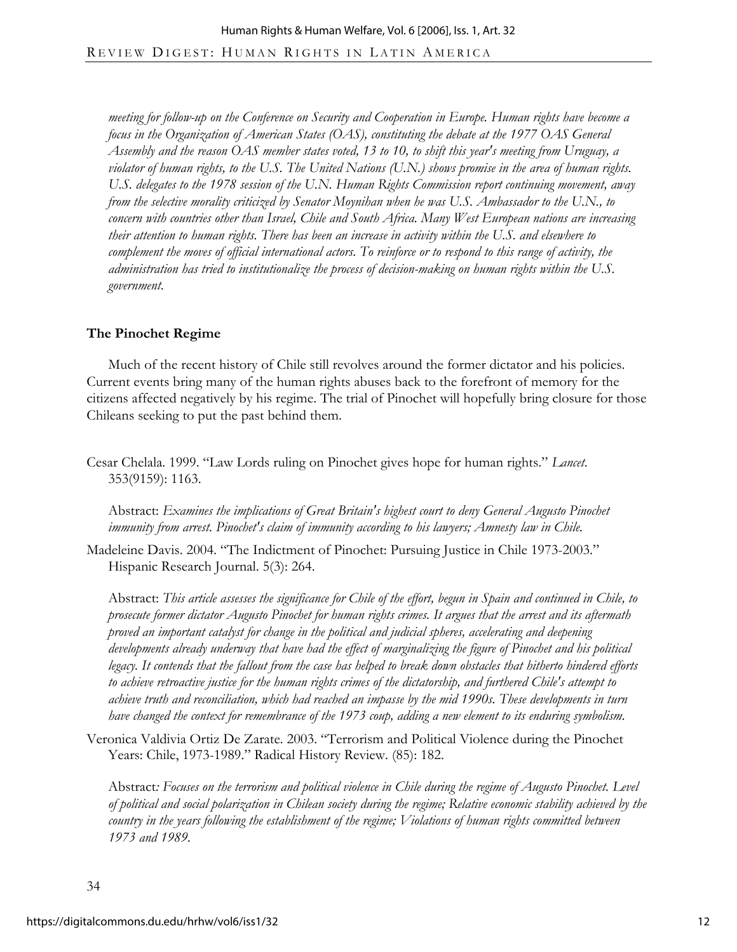*meeting for follow-up on the Conference on Security and Cooperation in Europe. Human rights have become a focus in the Organization of American States (OAS), constituting the debate at the 1977 OAS General Assembly and the reason OAS member states voted, 13 to 10, to shift this year's meeting from Uruguay, a violator of human rights, to the U.S. The United Nations (U.N.) shows promise in the area of human rights. U.S. delegates to the 1978 session of the U.N. Human Rights Commission report continuing movement, away from the selective morality criticized by Senator Moynihan when he was U.S. Ambassador to the U.N., to concern with countries other than Israel, Chile and South Africa. Many West European nations are increasing their attention to human rights. There has been an increase in activity within the U.S. and elsewhere to complement the moves of official international actors. To reinforce or to respond to this range of activity, the administration has tried to institutionalize the process of decision-making on human rights within the U.S. government*.

### **The Pinochet Regime**

Much of the recent history of Chile still revolves around the former dictator and his policies. Current events bring many of the human rights abuses back to the forefront of memory for the citizens affected negatively by his regime. The trial of Pinochet will hopefully bring closure for those Chileans seeking to put the past behind them.

Cesar Chelala. 1999. "Law Lords ruling on Pinochet gives hope for human rights." *Lancet*. 353(9159): 1163.

Abstract: *Examines the implications of Great Britain's highest court to deny General Augusto Pinochet immunity from arrest. Pinochet's claim of immunity according to his lawyers; Amnesty law in Chile.* 

Madeleine Davis. 2004. "The Indictment of Pinochet: Pursuing Justice in Chile 1973-2003." Hispanic Research Journal. 5(3): 264.

Abstract: *This article assesses the significance for Chile of the effort, begun in Spain and continued in Chile, to prosecute former dictator Augusto Pinochet for human rights crimes. It argues that the arrest and its aftermath proved an important catalyst for change in the political and judicial spheres, accelerating and deepening developments already underway that have had the effect of marginalizing the figure of Pinochet and his political legacy. It contends that the fallout from the case has helped to break down obstacles that hitherto hindered efforts to achieve retroactive justice for the human rights crimes of the dictatorship, and furthered Chile's attempt to achieve truth and reconciliation, which had reached an impasse by the mid 1990s. These developments in turn have changed the context for remembrance of the 1973 coup, adding a new element to its enduring symbolism.* 

Veronica Valdivia Ortiz De Zarate. 2003. "Terrorism and Political Violence during the Pinochet Years: Chile, 1973-1989." Radical History Review. (85): 182.

Abstract*: Focuses on the terrorism and political violence in Chile during the regime of Augusto Pinochet. Level of political and social polarization in Chilean society during the regime; Relative economic stability achieved by the country in the years following the establishment of the regime; Violations of human rights committed between 1973 and 1989.*